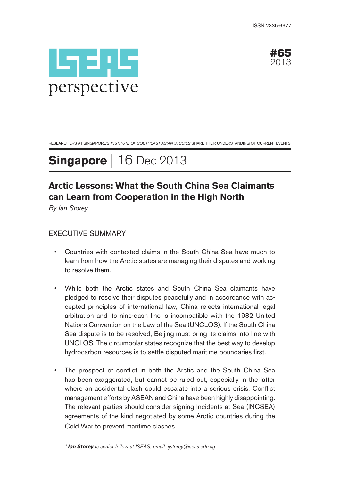



RESEARCHERS AT SINGAPORE'S INSTITUTE OF SOUTHEAST ASIAN STUDIES SHARE THEIR UNDERSTANDING OF CURRENT EVENTS

# **Singapore** | 16 Dec 2013

# **Arctic Lessons: What the South China Sea Claimants can Learn from Cooperation in the High North**

By Ian Storey

## EXECUTIVE SUMMARY

- Countries with contested claims in the South China Sea have much to learn from how the Arctic states are managing their disputes and working to resolve them.
- While both the Arctic states and South China Sea claimants have pledged to resolve their disputes peacefully and in accordance with accepted principles of international law, China rejects international legal arbitration and its nine-dash line is incompatible with the 1982 United Nations Convention on the Law of the Sea (UNCLOS). If the South China Sea dispute is to be resolved, Beijing must bring its claims into line with UNCLOS. The circumpolar states recognize that the best way to develop hydrocarbon resources is to settle disputed maritime boundaries first.
- The prospect of conflict in both the Arctic and the South China Sea has been exaggerated, but cannot be ruled out, especially in the latter where an accidental clash could escalate into a serious crisis. Conflict management efforts by ASEAN and China have been highly disappointing. The relevant parties should consider signing Incidents at Sea (INCSEA) agreements of the kind negotiated by some Arctic countries during the Cold War to prevent maritime clashes.

\* **Ian Storey** is senior fellow at ISEAS; email: ijstorey@iseas.edu.sg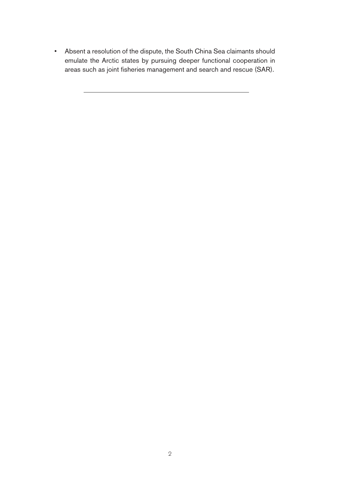• Absent a resolution of the dispute, the South China Sea claimants should emulate the Arctic states by pursuing deeper functional cooperation in areas such as joint fisheries management and search and rescue (SAR).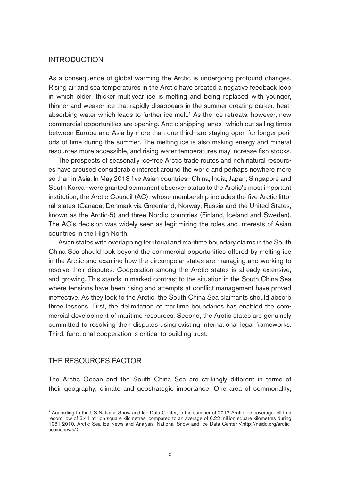#### INTRODUCTION

As a consequence of global warming the Arctic is undergoing profound changes. Rising air and sea temperatures in the Arctic have created a negative feedback loop in which older, thicker multiyear ice is melting and being replaced with younger, thinner and weaker ice that rapidly disappears in the summer creating darker, heatabsorbing water which leads to further ice melt.<sup>1</sup> As the ice retreats, however, new commercial opportunities are opening. Arctic shipping lanes—which cut sailing times between Europe and Asia by more than one third—are staying open for longer periods of time during the summer. The melting ice is also making energy and mineral resources more accessible, and rising water temperatures may increase fish stocks.

The prospects of seasonally ice-free Arctic trade routes and rich natural resources have aroused considerable interest around the world and perhaps nowhere more so than in Asia. In May 2013 five Asian countries—China, India, Japan, Singapore and South Korea—were granted permanent observer status to the Arctic's most important institution, the Arctic Council (AC), whose membership includes the five Arctic littoral states (Canada, Denmark via Greenland, Norway, Russia and the United States, known as the Arctic-5) and three Nordic countries (Finland, Iceland and Sweden). The AC's decision was widely seen as legitimizing the roles and interests of Asian countries in the High North.

Asian states with overlapping territorial and maritime boundary claims in the South China Sea should look beyond the commercial opportunities offered by melting ice in the Arctic and examine how the circumpolar states are managing and working to resolve their disputes. Cooperation among the Arctic states is already extensive, and growing. This stands in marked contrast to the situation in the South China Sea where tensions have been rising and attempts at conflict management have proved ineffective. As they look to the Arctic, the South China Sea claimants should absorb three lessons. First, the delimitation of maritime boundaries has enabled the commercial development of maritime resources. Second, the Arctic states are genuinely committed to resolving their disputes using existing international legal frameworks. Third, functional cooperation is critical to building trust.

#### THE RESOURCES FACTOR

The Arctic Ocean and the South China Sea are strikingly different in terms of their geography, climate and geostrategic importance. One area of commonality,

<sup>1</sup> According to the US National Snow and Ice Data Center, in the summer of 2012 Arctic ice coverage fell to a record low of 3.41 million square kilometres, compared to an average of 6.22 million square kilometres during 1981-2010. Arctic Sea Ice News and Analysis, National Snow and Ice Data Center <http://nsidc.org/arcticseaicenews/>.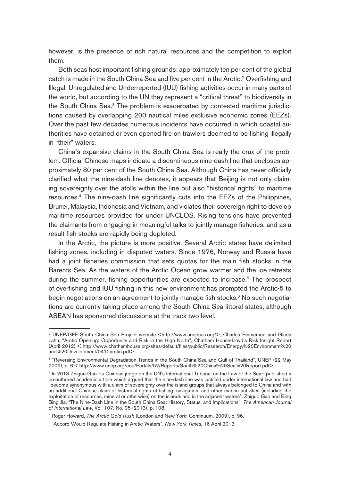however, is the presence of rich natural resources and the competition to exploit them.

Both seas host important fishing grounds: approximately ten per cent of the global catch is made in the South China Sea and five per cent in the Arctic.<sup>2</sup> Overfishing and Illegal, Unregulated and Underreported (IUU) fishing activities occur in many parts of the world, but according to the UN they represent a "critical threat" to biodiversity in the South China Sea.<sup>3</sup> The problem is exacerbated by contested maritime jurisdictions caused by overlapping 200 nautical miles exclusive economic zones (EEZs). Over the past few decades numerous incidents have occurred in which coastal authorities have detained or even opened fire on trawlers deemed to be fishing illegally in "their" waters.

China's expansive claims in the South China Sea is really the crux of the problem. Official Chinese maps indicate a discontinuous nine-dash line that encloses approximately 80 per cent of the South China Sea. Although China has never officially clarified what the nine-dash line denotes, it appears that Beijing is not only claiming sovereignty over the atolls within the line but also "historical rights" to maritime resources.4 The nine-dash line significantly cuts into the EEZs of the Philippines, Brunei, Malaysia, Indonesia and Vietnam, and violates their sovereign right to develop maritime resources provided for under UNCLOS. Rising tensions have prevented the claimants from engaging in meaningful talks to jointly manage fisheries, and as a result fish stocks are rapidly being depleted.

In the Arctic, the picture is more positive. Several Arctic states have delimited fishing zones, including in disputed waters. Since 1976, Norway and Russia have had a joint fisheries commission that sets quotas for the main fish stocks in the Barents Sea. As the waters of the Arctic Ocean grow warmer and the ice retreats during the summer, fishing opportunities are expected to increase.<sup>5</sup> The prospect of overfishing and IUU fishing in this new environment has prompted the Arctic-5 to begin negotiations on an agreement to jointly manage fish stocks.<sup>6</sup> No such negotiations are currently taking place among the South China Sea littoral states, although ASEAN has sponsored discussions at the track two level.

<sup>&</sup>lt;sup>2</sup> UNEP/GEF South China Sea Project website <http://www.unepscs.org/>; Charles Emmerson and Glada Lahn, "Arctic Opening: Opportunity and Risk in the High North", Chatham House-Lloyd's Risk Insight Report (April 2012) < http://www.chathamhouse.org/sites/default/files/public/Research/Energy,%20Environment%20 and%20Development/0412arctic.pdf>.

<sup>3 &</sup>quot;Reversing Environmental Degradation Trends in the South China Sea and Gulf of Thailand", UNEP (22 May 2009), p. 6 < http://www.unep.org/eou/Portals/52/Reports/South%20China%20Sea%20Report.pdf>.

<sup>4</sup> In 2013 Zhiguo Gao —a Chinese judge on the UN's International Tribunal on the Law of the Sea— published a co-authored academic article which argued that the nine-dash line was justified under international law and had "become synonymous with a claim of sovereignty over the island groups that always belonged to China and with an additional Chinese claim of historical rights of fishing, navigation, and other marine activities (including the exploitation of resources, mineral or otherwise) on the islands and in the adjacent waters". Zhiguo Gao and Bing Bing Jia, "The Nine-Dash Line in the South China Sea: History, Status, and Implications", The American Journal of International Law, Vol. 107, No. 95 (2013), p. 108.

<sup>5</sup> Roger Howard, The Arctic Gold Rush (London and New York: Continuum, 2009), p. 96.

<sup>&</sup>lt;sup>6</sup> "Accord Would Regulate Fishing in Arctic Waters", New York Times, 16 April 2013.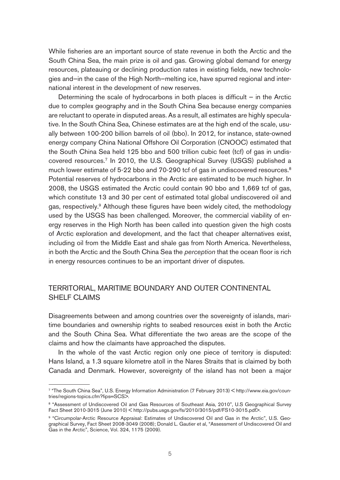While fisheries are an important source of state revenue in both the Arctic and the South China Sea, the main prize is oil and gas. Growing global demand for energy resources, plateauing or declining production rates in existing fields, new technologies and—in the case of the High North—melting ice, have spurred regional and international interest in the development of new reserves.

Determining the scale of hydrocarbons in both places is difficult  $-$  in the Arctic due to complex geography and in the South China Sea because energy companies are reluctant to operate in disputed areas. As a result, all estimates are highly speculative. In the South China Sea, Chinese estimates are at the high end of the scale, usually between 100-200 billion barrels of oil (bbo). In 2012, for instance, state-owned energy company China National Offshore Oil Corporation (CNOOC) estimated that the South China Sea held 125 bbo and 500 trillion cubic feet (tcf) of gas in undiscovered resources.7 In 2010, the U.S. Geographical Survey (USGS) published a much lower estimate of 5-22 bbo and 70-290 tcf of gas in undiscovered resources.<sup>8</sup> Potential reserves of hydrocarbons in the Arctic are estimated to be much higher. In 2008, the USGS estimated the Arctic could contain 90 bbo and 1,669 tcf of gas, which constitute 13 and 30 per cent of estimated total global undiscovered oil and gas, respectively.<sup>9</sup> Although these figures have been widely cited, the methodology used by the USGS has been challenged. Moreover, the commercial viability of energy reserves in the High North has been called into question given the high costs of Arctic exploration and development, and the fact that cheaper alternatives exist, including oil from the Middle East and shale gas from North America. Nevertheless, in both the Arctic and the South China Sea the perception that the ocean floor is rich in energy resources continues to be an important driver of disputes.

### TERRITORIAL, MARITIME BOUNDARY AND OUTER CONTINENTAL SHELF CLAIMS

Disagreements between and among countries over the sovereignty of islands, maritime boundaries and ownership rights to seabed resources exist in both the Arctic and the South China Sea. What differentiate the two areas are the scope of the claims and how the claimants have approached the disputes.

In the whole of the vast Arctic region only one piece of territory is disputed: Hans Island, a 1.3 square kilometre atoll in the Nares Straits that is claimed by both Canada and Denmark. However, sovereignty of the island has not been a major

<sup>7 &</sup>quot;The South China Sea", U.S. Energy Information Administration (7 February 2013) < http://www.eia.gov/countries/regions-topics.cfm?fips=SCS>.

<sup>8 &</sup>quot;Assessment of Undiscovered Oil and Gas Resources of Southeast Asia, 2010", U.S Geographical Survey Fact Sheet 2010-3015 (June 2010) < http://pubs.usgs.gov/fs/2010/3015/pdf/FS10-3015.pdf>.

<sup>&</sup>lt;sup>9</sup> "Circumpolar-Arctic Resource Appraisal: Estimates of Undiscovered Oil and Gas in the Arctic", U.S. Geographical Survey, Fact Sheet 2008-3049 (2008); Donald L. Gautier et al, "Assessment of Undiscovered Oil and Gas in the Arctic", Science, Vol. 324, 1175 (2009).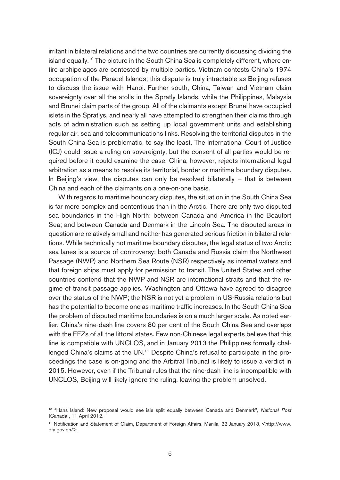irritant in bilateral relations and the two countries are currently discussing dividing the island equally.<sup>10</sup> The picture in the South China Sea is completely different, where entire archipelagos are contested by multiple parties. Vietnam contests China's 1974 occupation of the Paracel Islands; this dispute is truly intractable as Beijing refuses to discuss the issue with Hanoi. Further south, China, Taiwan and Vietnam claim sovereignty over all the atolls in the Spratly Islands, while the Philippines, Malaysia and Brunei claim parts of the group. All of the claimants except Brunei have occupied islets in the Spratlys, and nearly all have attempted to strengthen their claims through acts of administration such as setting up local government units and establishing regular air, sea and telecommunications links. Resolving the territorial disputes in the South China Sea is problematic, to say the least. The International Court of Justice (ICJ) could issue a ruling on sovereignty, but the consent of all parties would be required before it could examine the case. China, however, rejects international legal arbitration as a means to resolve its territorial, border or maritime boundary disputes. In Beijing's view, the disputes can only be resolved bilaterally  $-$  that is between China and each of the claimants on a one-on-one basis.

With regards to maritime boundary disputes, the situation in the South China Sea is far more complex and contentious than in the Arctic. There are only two disputed sea boundaries in the High North: between Canada and America in the Beaufort Sea; and between Canada and Denmark in the Lincoln Sea. The disputed areas in question are relatively small and neither has generated serious friction in bilateral relations. While technically not maritime boundary disputes, the legal status of two Arctic sea lanes is a source of controversy: both Canada and Russia claim the Northwest Passage (NWP) and Northern Sea Route (NSR) respectively as internal waters and that foreign ships must apply for permission to transit. The United States and other countries contend that the NWP and NSR are international straits and that the regime of transit passage applies. Washington and Ottawa have agreed to disagree over the status of the NWP; the NSR is not yet a problem in US-Russia relations but has the potential to become one as maritime traffic increases. In the South China Sea the problem of disputed maritime boundaries is on a much larger scale. As noted earlier, China's nine-dash line covers 80 per cent of the South China Sea and overlaps with the EEZs of all the littoral states. Few non-Chinese legal experts believe that this line is compatible with UNCLOS, and in January 2013 the Philippines formally challenged China's claims at the UN.<sup>11</sup> Despite China's refusal to participate in the proceedings the case is on-going and the Arbitral Tribunal is likely to issue a verdict in 2015. However, even if the Tribunal rules that the nine-dash line is incompatible with UNCLOS, Beijing will likely ignore the ruling, leaving the problem unsolved.

<sup>&</sup>lt;sup>10</sup> "Hans Island: New proposal would see isle split equally between Canada and Denmark", National Post [Canada], 11 April 2012.

<sup>&</sup>lt;sup>11</sup> Notification and Statement of Claim, Department of Foreign Affairs, Manila, 22 January 2013, <http://www. dfa.gov.ph/>.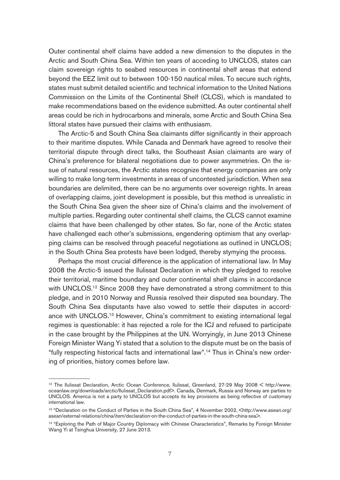Outer continental shelf claims have added a new dimension to the disputes in the Arctic and South China Sea. Within ten years of acceding to UNCLOS, states can claim sovereign rights to seabed resources in continental shelf areas that extend beyond the EEZ limit out to between 100-150 nautical miles. To secure such rights, states must submit detailed scientific and technical information to the United Nations Commission on the Limits of the Continental Shelf (CLCS), which is mandated to make recommendations based on the evidence submitted. As outer continental shelf areas could be rich in hydrocarbons and minerals, some Arctic and South China Sea littoral states have pursued their claims with enthusiasm.

The Arctic-5 and South China Sea claimants differ significantly in their approach to their maritime disputes. While Canada and Denmark have agreed to resolve their territorial dispute through direct talks, the Southeast Asian claimants are wary of China's preference for bilateral negotiations due to power asymmetries. On the issue of natural resources, the Arctic states recognize that energy companies are only willing to make long-term investments in areas of uncontested jurisdiction. When sea boundaries are delimited, there can be no arguments over sovereign rights. In areas of overlapping claims, joint development is possible, but this method is unrealistic in the South China Sea given the sheer size of China's claims and the involvement of multiple parties. Regarding outer continental shelf claims, the CLCS cannot examine claims that have been challenged by other states. So far, none of the Arctic states have challenged each other's submissions, engendering optimism that any overlapping claims can be resolved through peaceful negotiations as outlined in UNCLOS; in the South China Sea protests have been lodged, thereby stymying the process.

Perhaps the most crucial difference is the application of international law. In May 2008 the Arctic-5 issued the Ilulissat Declaration in which they pledged to resolve their territorial, maritime boundary and outer continental shelf claims in accordance with UNCLOS.<sup>12</sup> Since 2008 they have demonstrated a strong commitment to this pledge, and in 2010 Norway and Russia resolved their disputed sea boundary. The South China Sea disputants have also vowed to settle their disputes in accordance with UNCLOS.<sup>13</sup> However, China's commitment to existing international legal regimes is questionable: it has rejected a role for the ICJ and refused to participate in the case brought by the Philippines at the UN. Worryingly, in June 2013 Chinese Foreign Minister Wang Yi stated that a solution to the dispute must be on the basis of "fully respecting historical facts and international law".14 Thus in China's new ordering of priorities, history comes before law.

<sup>12</sup> The Ilulissat Declaration, Arctic Ocean Conference, Ilulissat, Greenland, 27-29 May 2008 < http://www. oceanlaw.org/downloads/arctic/Ilulissat\_Declaration.pdf>. Canada, Denmark, Russia and Norway are parties to UNCLOS. America is not a party to UNCLOS but accepts its key provisions as being reflective of customary international law.

<sup>&</sup>lt;sup>13</sup> "Declaration on the Conduct of Parties in the South China Sea", 4 November 2002, <http://www.asean.org/ asean/external-relations/china/item/declaration-on-the-conduct-of-parties-in-the-south-china-sea>.

<sup>14 &</sup>quot;Exploring the Path of Major Country Diplomacy with Chinese Characteristics", Remarks by Foreign Minister Wang Yi at Tsinghua University, 27 June 2013.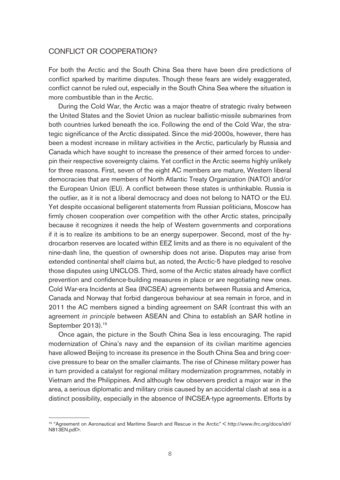#### CONFLICT OR COOPERATION?

For both the Arctic and the South China Sea there have been dire predictions of conflict sparked by maritime disputes. Though these fears are widely exaggerated, conflict cannot be ruled out, especially in the South China Sea where the situation is more combustible than in the Arctic.

During the Cold War, the Arctic was a major theatre of strategic rivalry between the United States and the Soviet Union as nuclear ballistic-missile submarines from both countries lurked beneath the ice. Following the end of the Cold War, the strategic significance of the Arctic dissipated. Since the mid-2000s, however, there has been a modest increase in military activities in the Arctic, particularly by Russia and Canada which have sought to increase the presence of their armed forces to underpin their respective sovereignty claims. Yet conflict in the Arctic seems highly unlikely for three reasons. First, seven of the eight AC members are mature, Western liberal democracies that are members of North Atlantic Treaty Organization (NATO) and/or the European Union (EU). A conflict between these states is unthinkable. Russia is the outlier, as it is not a liberal democracy and does not belong to NATO or the EU. Yet despite occasional belligerent statements from Russian politicians, Moscow has firmly chosen cooperation over competition with the other Arctic states, principally because it recognizes it needs the help of Western governments and corporations if it is to realize its ambitions to be an energy superpower. Second, most of the hydrocarbon reserves are located within EEZ limits and as there is no equivalent of the nine-dash line, the question of ownership does not arise. Disputes may arise from extended continental shelf claims but, as noted, the Arctic-5 have pledged to resolve those disputes using UNCLOS. Third, some of the Arctic states already have conflict prevention and confidence-building measures in place or are negotiating new ones. Cold War-era Incidents at Sea (INCSEA) agreements between Russia and America, Canada and Norway that forbid dangerous behaviour at sea remain in force, and in 2011 the AC members signed a binding agreement on SAR (contrast this with an agreement in principle between ASEAN and China to establish an SAR hotline in September 2013).<sup>15</sup>

Once again, the picture in the South China Sea is less encouraging. The rapid modernization of China's navy and the expansion of its civilian maritime agencies have allowed Beijing to increase its presence in the South China Sea and bring coercive pressure to bear on the smaller claimants. The rise of Chinese military power has in turn provided a catalyst for regional military modernization programmes, notably in Vietnam and the Philippines. And although few observers predict a major war in the area, a serious diplomatic and military crisis caused by an accidental clash at sea is a distinct possibility, especially in the absence of INCSEA-type agreements. Efforts by

<sup>15 &</sup>quot;Agreement on Aeronautical and Maritime Search and Rescue in the Arctic" < http://www.ifrc.org/docs/idrl/ N813EN.pdf>.